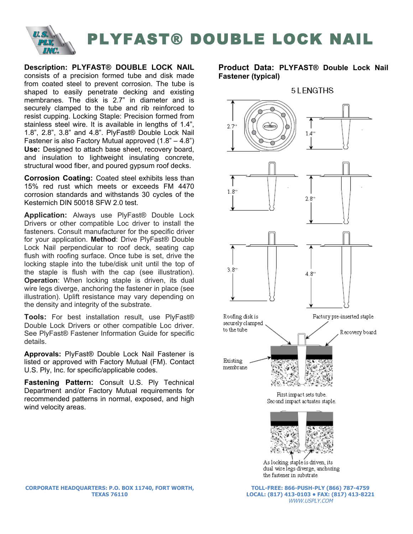

## PLYFAST® DOUBLE LOCK NAIL

**Description: PLYFAST® DOUBLE LOCK NAIL** consists of a precision formed tube and disk made from coated steel to prevent corrosion. The tube is shaped to easily penetrate decking and existing membranes. The disk is 2.7" in diameter and is securely clamped to the tube and rib reinforced to resist cupping. Locking Staple: Precision formed from stainless steel wire. It is available in lengths of 1.4", 1.8", 2.8", 3.8" and 4.8". PlyFast® Double Lock Nail Fastener is also Factory Mutual approved (1.8" – 4.8") **Use:** Designed to attach base sheet, recovery board, and insulation to lightweight insulating concrete, structural wood fiber, and poured gypsum roof decks.

**Corrosion Coating:** Coated steel exhibits less than 15% red rust which meets or exceeds FM 4470 corrosion standards and withstands 30 cycles of the Kesternich DIN 50018 SFW 2.0 test.

**Application:** Always use PlyFast® Double Lock Drivers or other compatible Loc driver to install the fasteners. Consult manufacturer for the specific driver for your application. **Method**: Drive PlyFast® Double Lock Nail perpendicular to roof deck, seating cap flush with roofing surface. Once tube is set, drive the locking staple into the tube/disk unit until the top of the staple is flush with the cap (see illustration). **Operation:** When locking staple is driven, its dual wire legs diverge, anchoring the fastener in place (see illustration). Uplift resistance may vary depending on the density and integrity of the substrate.

**Tools:** For best installation result, use PlyFast® Double Lock Drivers or other compatible Loc driver. See PlyFast® Fastener Information Guide for specific details.

**Approvals:** PlyFast® Double Lock Nail Fastener is listed or approved with Factory Mutual (FM). Contact U.S. Ply, Inc. for specific/applicable codes.

**Fastening Pattern:** Consult U.S. Ply Technical Department and/or Factory Mutual requirements for recommended patterns in normal, exposed, and high wind velocity areas.

## **Product Data: PLYFAST® Double Lock Nail Fastener (typical)**



**CORPORATE HEADQUARTERS: P.O. BOX 11740, FORT WORTH, TEXAS 76110**

**TOLL-FREE: 866-PUSH-PLY (866) 787-4759 LOCAL: (817) 413-0103 • FAX: (817) 413-8221** WWW.USPLY.COM